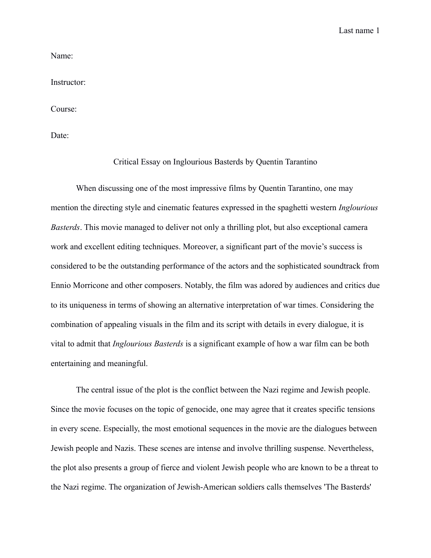Last name 1

Name:

Instructor:

Course:

Date:

## Critical Essay on Inglourious Basterds by Quentin Tarantino

When discussing one of the most impressive films by Quentin Tarantino, one may mention the directing style and cinematic features expressed in the spaghetti western *Inglourious Basterds*. This movie managed to deliver not only a thrilling plot, but also exceptional camera work and excellent editing techniques. Moreover, a significant part of the movie's success is considered to be the outstanding performance of the actors and the sophisticated soundtrack from Ennio Morricone and other composers. Notably, the film was adored by audiences and critics due to its uniqueness in terms of showing an alternative interpretation of war times. Considering the combination of appealing visuals in the film and its script with details in every dialogue, it is vital to admit that *Inglourious Basterds* is a significant example of how a war film can be both entertaining and meaningful.

The central issue of the plot is the conflict between the Nazi regime and Jewish people. Since the movie focuses on the topic of genocide, one may agree that it creates specific tensions in every scene. Especially, the most emotional sequences in the movie are the dialogues between Jewish people and Nazis. These scenes are intense and involve thrilling suspense. Nevertheless, the plot also presents a group of fierce and violent Jewish people who are known to be a threat to the Nazi regime. The organization of Jewish-American soldiers calls themselves 'The Basterds'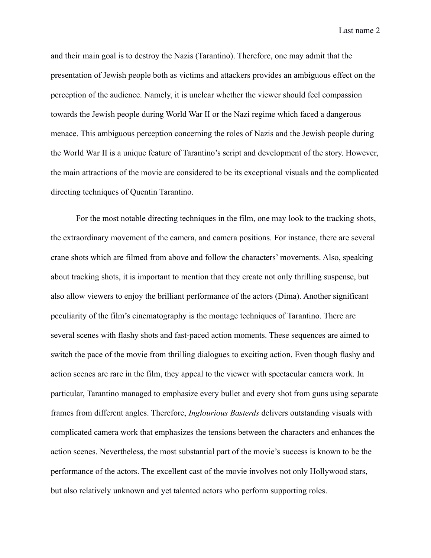Last name 2

and their main goal is to destroy the Nazis (Tarantino). Therefore, one may admit that the presentation of Jewish people both as victims and attackers provides an ambiguous effect on the perception of the audience. Namely, it is unclear whether the viewer should feel compassion towards the Jewish people during World War II or the Nazi regime which faced a dangerous menace. This ambiguous perception concerning the roles of Nazis and the Jewish people during the World War II is a unique feature of Tarantino's script and development of the story. However, the main attractions of the movie are considered to be its exceptional visuals and the complicated directing techniques of Quentin Tarantino.

For the most notable directing techniques in the film, one may look to the tracking shots, the extraordinary movement of the camera, and camera positions. For instance, there are several crane shots which are filmed from above and follow the characters' movements. Also, speaking about tracking shots, it is important to mention that they create not only thrilling suspense, but also allow viewers to enjoy the brilliant performance of the actors (Dima). Another significant peculiarity of the film's cinematography is the montage techniques of Tarantino. There are several scenes with flashy shots and fast-paced action moments. These sequences are aimed to switch the pace of the movie from thrilling dialogues to exciting action. Even though flashy and action scenes are rare in the film, they appeal to the viewer with spectacular camera work. In particular, Tarantino managed to emphasize every bullet and every shot from guns using separate frames from different angles. Therefore, *Inglourious Basterds* delivers outstanding visuals with complicated camera work that emphasizes the tensions between the characters and enhances the action scenes. Nevertheless, the most substantial part of the movie's success is known to be the performance of the actors. The excellent cast of the movie involves not only Hollywood stars, but also relatively unknown and yet talented actors who perform supporting roles.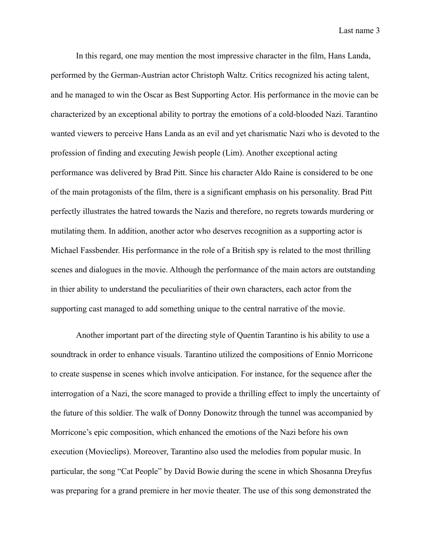In this regard, one may mention the most impressive character in the film, Hans Landa, performed by the German-Austrian actor Christoph Waltz. Critics recognized his acting talent, and he managed to win the Oscar as Best Supporting Actor. His performance in the movie can be characterized by an exceptional ability to portray the emotions of a cold-blooded Nazi. Tarantino wanted viewers to perceive Hans Landa as an evil and yet charismatic Nazi who is devoted to the profession of finding and executing Jewish people (Lim). Another exceptional acting performance was delivered by Brad Pitt. Since his character Aldo Raine is considered to be one of the main protagonists of the film, there is a significant emphasis on his personality. Brad Pitt perfectly illustrates the hatred towards the Nazis and therefore, no regrets towards murdering or mutilating them. In addition, another actor who deserves recognition as a supporting actor is Michael Fassbender. His performance in the role of a British spy is related to the most thrilling scenes and dialogues in the movie. Although the performance of the main actors are outstanding in thier ability to understand the peculiarities of their own characters, each actor from the supporting cast managed to add something unique to the central narrative of the movie.

Another important part of the directing style of Quentin Tarantino is his ability to use a soundtrack in order to enhance visuals. Tarantino utilized the compositions of Ennio Morricone to create suspense in scenes which involve anticipation. For instance, for the sequence after the interrogation of a Nazi, the score managed to provide a thrilling effect to imply the uncertainty of the future of this soldier. The walk of Donny Donowitz through the tunnel was accompanied by Morricone's epic composition, which enhanced the emotions of the Nazi before his own execution (Movieclips). Moreover, Tarantino also used the melodies from popular music. In particular, the song "Cat People" by David Bowie during the scene in which Shosanna Dreyfus was preparing for a grand premiere in her movie theater. The use of this song demonstrated the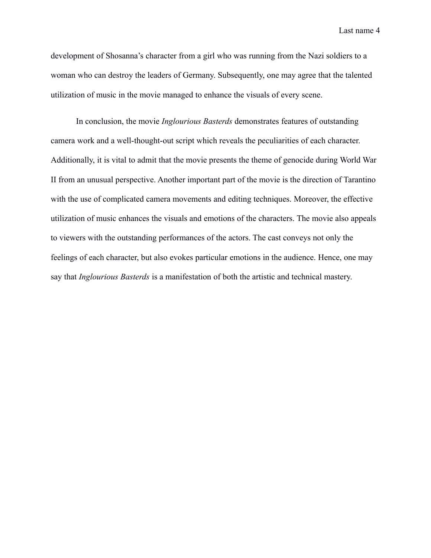Last name 4

development of Shosanna's character from a girl who was running from the Nazi soldiers to a woman who can destroy the leaders of Germany. Subsequently, one may agree that the talented utilization of music in the movie managed to enhance the visuals of every scene.

In conclusion, the movie *Inglourious Basterds* demonstrates features of outstanding camera work and a well-thought-out script which reveals the peculiarities of each character. Additionally, it is vital to admit that the movie presents the theme of genocide during World War II from an unusual perspective. Another important part of the movie is the direction of Tarantino with the use of complicated camera movements and editing techniques. Moreover, the effective utilization of music enhances the visuals and emotions of the characters. The movie also appeals to viewers with the outstanding performances of the actors. The cast conveys not only the feelings of each character, but also evokes particular emotions in the audience. Hence, one may say that *Inglourious Basterds* is a manifestation of both the artistic and technical mastery.